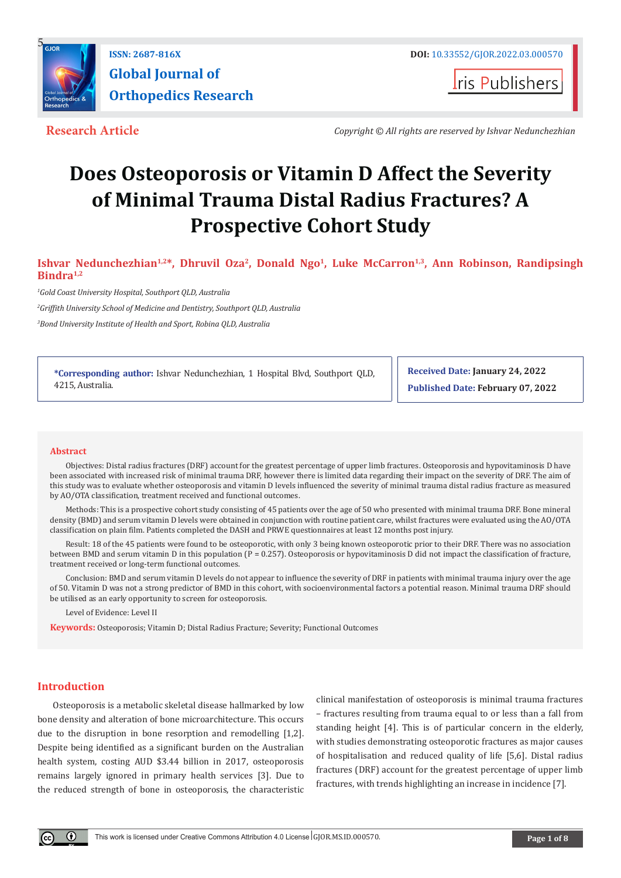

**I**ris Publishers

**Research Article** *Copyright © All rights are reserved by Ishvar Nedunchezhian*

# **Does Osteoporosis or Vitamin D Affect the Severity of Minimal Trauma Distal Radius Fractures? A Prospective Cohort Study**

Ishvar Nedunchezhian<sup>1,2\*</sup>, Dhruvil Oza<sup>2</sup>, Donald Ngo<sup>1</sup>, Luke McCarron<sup>1,3</sup>, Ann Robinson, Randipsingh **Bindra1,2**

*1 Gold Coast University Hospital, Southport QLD, Australia* 

*2 Griffith University School of Medicine and Dentistry, Southport QLD, Australia*

*3 Bond University Institute of Health and Sport, Robina QLD, Australia*

**\*Corresponding author:** Ishvar Nedunchezhian, 1 Hospital Blvd, Southport QLD, 4215, Australia.

**Received Date: January 24, 2022 Published Date: February 07, 2022**

#### **Abstract**

Objectives: Distal radius fractures (DRF) account for the greatest percentage of upper limb fractures. Osteoporosis and hypovitaminosis D have been associated with increased risk of minimal trauma DRF, however there is limited data regarding their impact on the severity of DRF. The aim of this study was to evaluate whether osteoporosis and vitamin D levels influenced the severity of minimal trauma distal radius fracture as measured by AO/OTA classification, treatment received and functional outcomes.

Methods: This is a prospective cohort study consisting of 45 patients over the age of 50 who presented with minimal trauma DRF. Bone mineral density (BMD) and serum vitamin D levels were obtained in conjunction with routine patient care, whilst fractures were evaluated using the AO/OTA classification on plain film. Patients completed the DASH and PRWE questionnaires at least 12 months post injury.

Result: 18 of the 45 patients were found to be osteoporotic, with only 3 being known osteoporotic prior to their DRF. There was no association between BMD and serum vitamin D in this population ( $P = 0.257$ ). Osteoporosis or hypovitaminosis D did not impact the classification of fracture, treatment received or long-term functional outcomes.

Conclusion: BMD and serum vitamin D levels do not appear to influence the severity of DRF in patients with minimal trauma injury over the age of 50. Vitamin D was not a strong predictor of BMD in this cohort, with socioenvironmental factors a potential reason. Minimal trauma DRF should be utilised as an early opportunity to screen for osteoporosis.

Level of Evidence: Level II

**Keywords:** Osteoporosis; Vitamin D; Distal Radius Fracture; Severity; Functional Outcomes

# **Introduction**

Osteoporosis is a metabolic skeletal disease hallmarked by low bone density and alteration of bone microarchitecture. This occurs due to the disruption in bone resorption and remodelling [1,2]. Despite being identified as a significant burden on the Australian health system, costing AUD \$3.44 billion in 2017, osteoporosis remains largely ignored in primary health services [3]. Due to the reduced strength of bone in osteoporosis, the characteristic

clinical manifestation of osteoporosis is minimal trauma fractures – fractures resulting from trauma equal to or less than a fall from standing height [4]. This is of particular concern in the elderly, with studies demonstrating osteoporotic fractures as major causes of hospitalisation and reduced quality of life [5,6]. Distal radius fractures (DRF) account for the greatest percentage of upper limb fractures, with trends highlighting an increase in incidence [7].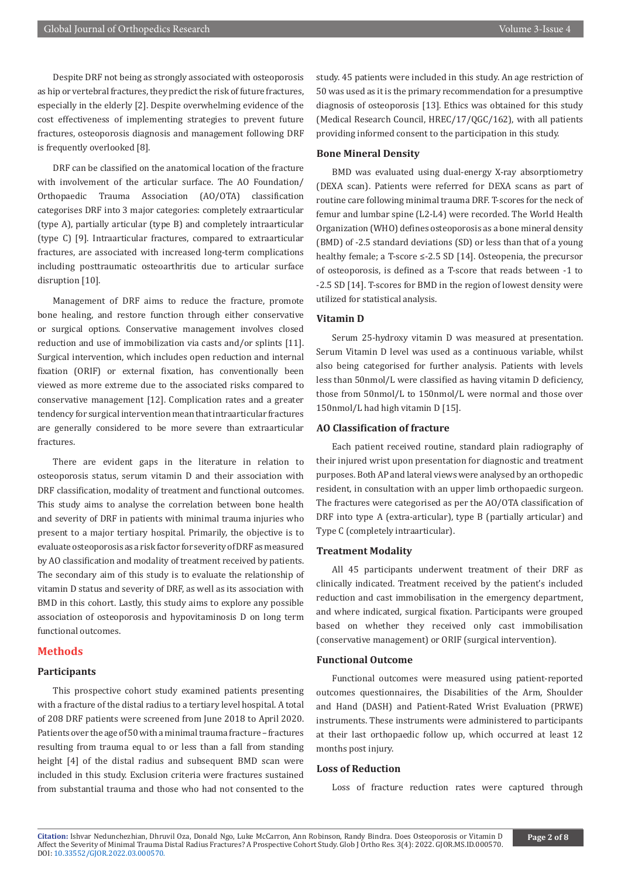Despite DRF not being as strongly associated with osteoporosis as hip or vertebral fractures, they predict the risk of future fractures, especially in the elderly [2]. Despite overwhelming evidence of the cost effectiveness of implementing strategies to prevent future fractures, osteoporosis diagnosis and management following DRF is frequently overlooked [8].

DRF can be classified on the anatomical location of the fracture with involvement of the articular surface. The AO Foundation/ Orthopaedic Trauma Association (AO/OTA) classification categorises DRF into 3 major categories: completely extraarticular (type A), partially articular (type B) and completely intraarticular (type C) [9]. Intraarticular fractures, compared to extraarticular fractures, are associated with increased long-term complications including posttraumatic osteoarthritis due to articular surface disruption [10].

Management of DRF aims to reduce the fracture, promote bone healing, and restore function through either conservative or surgical options. Conservative management involves closed reduction and use of immobilization via casts and/or splints [11]. Surgical intervention, which includes open reduction and internal fixation (ORIF) or external fixation, has conventionally been viewed as more extreme due to the associated risks compared to conservative management [12]. Complication rates and a greater tendency for surgical intervention mean that intraarticular fractures are generally considered to be more severe than extraarticular fractures.

There are evident gaps in the literature in relation to osteoporosis status, serum vitamin D and their association with DRF classification, modality of treatment and functional outcomes. This study aims to analyse the correlation between bone health and severity of DRF in patients with minimal trauma injuries who present to a major tertiary hospital. Primarily, the objective is to evaluate osteoporosis as a risk factor for severity of DRF as measured by AO classification and modality of treatment received by patients. The secondary aim of this study is to evaluate the relationship of vitamin D status and severity of DRF, as well as its association with BMD in this cohort. Lastly, this study aims to explore any possible association of osteoporosis and hypovitaminosis D on long term functional outcomes.

## **Methods**

# **Participants**

This prospective cohort study examined patients presenting with a fracture of the distal radius to a tertiary level hospital. A total of 208 DRF patients were screened from June 2018 to April 2020. Patients over the age of 50 with a minimal trauma fracture – fractures resulting from trauma equal to or less than a fall from standing height [4] of the distal radius and subsequent BMD scan were included in this study. Exclusion criteria were fractures sustained from substantial trauma and those who had not consented to the

study. 45 patients were included in this study. An age restriction of 50 was used as it is the primary recommendation for a presumptive diagnosis of osteoporosis [13]. Ethics was obtained for this study (Medical Research Council, HREC/17/QGC/162), with all patients providing informed consent to the participation in this study.

# **Bone Mineral Density**

BMD was evaluated using dual-energy X-ray absorptiometry (DEXA scan). Patients were referred for DEXA scans as part of routine care following minimal trauma DRF. T-scores for the neck of femur and lumbar spine (L2-L4) were recorded. The World Health Organization (WHO) defines osteoporosis as a bone mineral density (BMD) of -2.5 standard deviations (SD) or less than that of a young healthy female; a T-score ≤-2.5 SD [14]. Osteopenia, the precursor of osteoporosis, is defined as a T-score that reads between -1 to -2.5 SD [14]. T-scores for BMD in the region of lowest density were utilized for statistical analysis.

#### **Vitamin D**

Serum 25-hydroxy vitamin D was measured at presentation. Serum Vitamin D level was used as a continuous variable, whilst also being categorised for further analysis. Patients with levels less than 50nmol/L were classified as having vitamin D deficiency, those from 50nmol/L to 150nmol/L were normal and those over 150nmol/L had high vitamin D [15].

# **AO Classification of fracture**

Each patient received routine, standard plain radiography of their injured wrist upon presentation for diagnostic and treatment purposes. Both AP and lateral views were analysed by an orthopedic resident, in consultation with an upper limb orthopaedic surgeon. The fractures were categorised as per the AO/OTA classification of DRF into type A (extra-articular), type B (partially articular) and Type C (completely intraarticular).

#### **Treatment Modality**

All 45 participants underwent treatment of their DRF as clinically indicated. Treatment received by the patient's included reduction and cast immobilisation in the emergency department, and where indicated, surgical fixation. Participants were grouped based on whether they received only cast immobilisation (conservative management) or ORIF (surgical intervention).

#### **Functional Outcome**

Functional outcomes were measured using patient-reported outcomes questionnaires, the Disabilities of the Arm, Shoulder and Hand (DASH) and Patient-Rated Wrist Evaluation (PRWE) instruments. These instruments were administered to participants at their last orthopaedic follow up, which occurred at least 12 months post injury.

# **Loss of Reduction**

Loss of fracture reduction rates were captured through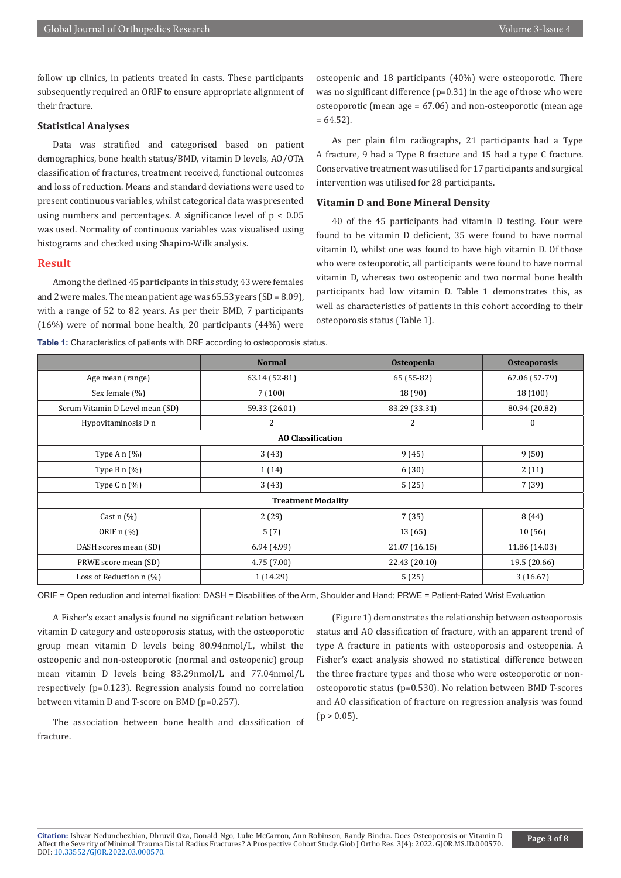follow up clinics, in patients treated in casts. These participants subsequently required an ORIF to ensure appropriate alignment of their fracture.

#### **Statistical Analyses**

Data was stratified and categorised based on patient demographics, bone health status/BMD, vitamin D levels, AO/OTA classification of fractures, treatment received, functional outcomes and loss of reduction. Means and standard deviations were used to present continuous variables, whilst categorical data was presented using numbers and percentages. A significance level of  $p < 0.05$ was used. Normality of continuous variables was visualised using histograms and checked using Shapiro-Wilk analysis.

#### **Result**

Among the defined 45 participants in this study, 43 were females and 2 were males. The mean patient age was  $65.53$  years  $(SD = 8.09)$ . with a range of 52 to 82 years. As per their BMD, 7 participants (16%) were of normal bone health, 20 participants (44%) were

**Table 1:** Characteristics of patients with DRF according to osteoporosis status.

osteopenic and 18 participants (40%) were osteoporotic. There was no significant difference (p=0.31) in the age of those who were osteoporotic (mean age = 67.06) and non-osteoporotic (mean age  $= 64.52$ ).

As per plain film radiographs, 21 participants had a Type A fracture, 9 had a Type B fracture and 15 had a type C fracture. Conservative treatment was utilised for 17 participants and surgical intervention was utilised for 28 participants.

# **Vitamin D and Bone Mineral Density**

40 of the 45 participants had vitamin D testing. Four were found to be vitamin D deficient, 35 were found to have normal vitamin D, whilst one was found to have high vitamin D. Of those who were osteoporotic, all participants were found to have normal vitamin D, whereas two osteopenic and two normal bone health participants had low vitamin D. Table 1 demonstrates this, as well as characteristics of patients in this cohort according to their osteoporosis status (Table 1).

|                                 | <b>Normal</b> | Osteopenia    | <b>Osteoporosis</b> |  |
|---------------------------------|---------------|---------------|---------------------|--|
| Age mean (range)                | 63.14 (52-81) | 65 (55-82)    | 67.06 (57-79)       |  |
| Sex female (%)                  | 7(100)        | 18(90)        | 18 (100)            |  |
| Serum Vitamin D Level mean (SD) | 59.33 (26.01) | 83.29 (33.31) | 80.94 (20.82)       |  |
| Hypovitaminosis D n             | 2             | 2             | $\bf{0}$            |  |
| <b>AO Classification</b>        |               |               |                     |  |
| Type A $n$ (%)                  | 3(43)         | 9(45)         | 9(50)               |  |
| Type B $n$ $(\%)$               | 1(14)         | 6(30)         | 2(11)               |  |
| Type C $n$ (%)                  | 3(43)         | 5(25)         | 7(39)               |  |
| <b>Treatment Modality</b>       |               |               |                     |  |
| Cast $n$ (%)                    | 2(29)         | 7(35)         | 8(44)               |  |
| ORIF n (%)                      | 5(7)          | 13(65)        | 10(56)              |  |
| DASH scores mean (SD)           | 6.94(4.99)    | 21.07 (16.15) | 11.86 (14.03)       |  |
| PRWE score mean (SD)            | 4.75(7.00)    | 22.43 (20.10) | 19.5 (20.66)        |  |
| Loss of Reduction n (%)         | 1(14.29)      | 5(25)         | 3(16.67)            |  |

ORIF = Open reduction and internal fixation; DASH = Disabilities of the Arm, Shoulder and Hand; PRWE = Patient-Rated Wrist Evaluation

A Fisher's exact analysis found no significant relation between vitamin D category and osteoporosis status, with the osteoporotic group mean vitamin D levels being 80.94nmol/L, whilst the osteopenic and non-osteoporotic (normal and osteopenic) group mean vitamin D levels being 83.29nmol/L and 77.04nmol/L respectively (p=0.123). Regression analysis found no correlation between vitamin D and T-score on BMD (p=0.257).

The association between bone health and classification of fracture.

(Figure 1) demonstrates the relationship between osteoporosis status and AO classification of fracture, with an apparent trend of type A fracture in patients with osteoporosis and osteopenia. A Fisher's exact analysis showed no statistical difference between the three fracture types and those who were osteoporotic or nonosteoporotic status (p=0.530). No relation between BMD T-scores and AO classification of fracture on regression analysis was found  $(p > 0.05)$ .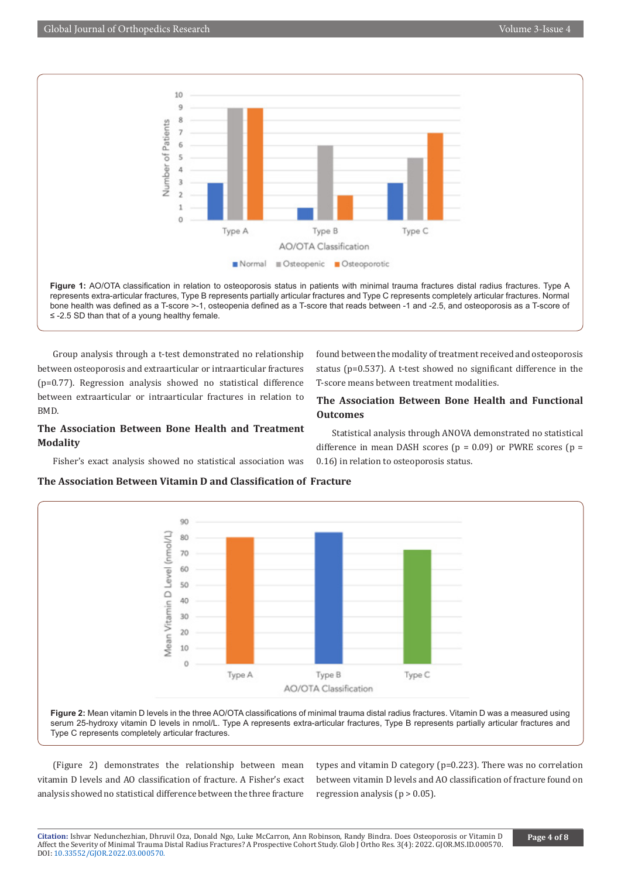

**Figure 1:** AO/OTA classification in relation to osteoporosis status in patients with minimal trauma fractures distal radius fractures. Type A represents extra-articular fractures, Type B represents partially articular fractures and Type C represents completely articular fractures. Normal bone health was defined as a T-score >-1, osteopenia defined as a T-score that reads between -1 and -2.5, and osteoporosis as a T-score of ≤ -2.5 SD than that of a young healthy female.

Group analysis through a t-test demonstrated no relationship between osteoporosis and extraarticular or intraarticular fractures (p=0.77). Regression analysis showed no statistical difference between extraarticular or intraarticular fractures in relation to BMD.

# **The Association Between Bone Health and Treatment Modality**

Fisher's exact analysis showed no statistical association was

found between the modality of treatment received and osteoporosis status (p=0.537). A t-test showed no significant difference in the T-score means between treatment modalities.

# **The Association Between Bone Health and Functional Outcomes**

Statistical analysis through ANOVA demonstrated no statistical difference in mean DASH scores ( $p = 0.09$ ) or PWRE scores ( $p =$ 0.16) in relation to osteoporosis status.

# **The Association Between Vitamin D and Classification of Fracture**



**Figure 2:** Mean vitamin D levels in the three AO/OTA classifications of minimal trauma distal radius fractures. Vitamin D was a measured using serum 25-hydroxy vitamin D levels in nmol/L. Type A represents extra-articular fractures, Type B represents partially articular fractures and Type C represents completely articular fractures.

(Figure 2) demonstrates the relationship between mean vitamin D levels and AO classification of fracture. A Fisher's exact analysis showed no statistical difference between the three fracture

types and vitamin D category (p=0.223). There was no correlation between vitamin D levels and AO classification of fracture found on regression analysis ( $p > 0.05$ ).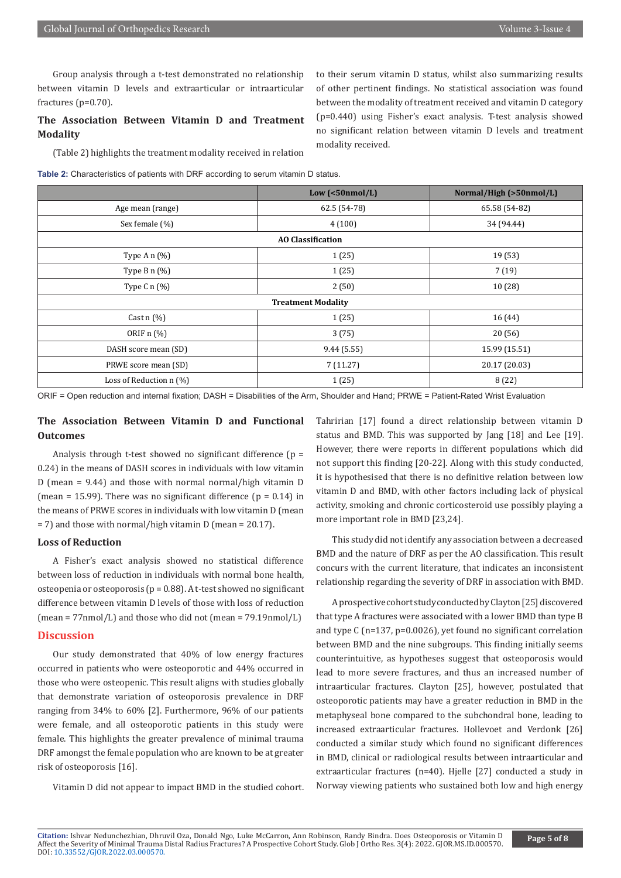Group analysis through a t-test demonstrated no relationship between vitamin D levels and extraarticular or intraarticular fractures (p=0.70).

# **The Association Between Vitamin D and Treatment Modality**

(Table 2) highlights the treatment modality received in relation

**Table 2:** Characteristics of patients with DRF according to serum vitamin D status.

|                           | $Low$ (<50 $nmol/L$ ) | Normal/High (>50nmol/L) |  |  |
|---------------------------|-----------------------|-------------------------|--|--|
| Age mean (range)          | 62.5 (54-78)          | 65.58 (54-82)           |  |  |
| Sex female (%)            | 4(100)                | 34 (94.44)              |  |  |
| <b>AO Classification</b>  |                       |                         |  |  |
| Type A $n$ (%)            | 1(25)                 | 19 (53)                 |  |  |
| Type B $n$ (%)            | 1(25)                 | 7(19)                   |  |  |
| Type C $n$ (%)            | 2(50)                 | 10(28)                  |  |  |
| <b>Treatment Modality</b> |                       |                         |  |  |
| Cast $n$ (%)              | 1(25)                 | 16 (44)                 |  |  |
| ORIF n (%)                | 3(75)                 | 20(56)                  |  |  |
| DASH score mean (SD)      | 9.44(5.55)            | 15.99 (15.51)           |  |  |
| PRWE score mean (SD)      | 7(11.27)              | 20.17 (20.03)           |  |  |
| Loss of Reduction $n$ (%) | 1(25)                 | 8(22)                   |  |  |

modality received.

ORIF = Open reduction and internal fixation; DASH = Disabilities of the Arm, Shoulder and Hand; PRWE = Patient-Rated Wrist Evaluation

# **The Association Between Vitamin D and Functional Outcomes**

Analysis through t-test showed no significant difference ( $p =$ 0.24) in the means of DASH scores in individuals with low vitamin D (mean = 9.44) and those with normal normal/high vitamin D (mean = 15.99). There was no significant difference ( $p = 0.14$ ) in the means of PRWE scores in individuals with low vitamin D (mean = 7) and those with normal/high vitamin D (mean = 20.17).

# **Loss of Reduction**

A Fisher's exact analysis showed no statistical difference between loss of reduction in individuals with normal bone health, osteopenia or osteoporosis (p = 0.88). A t-test showed no significant difference between vitamin D levels of those with loss of reduction (mean = 77nmol/L) and those who did not (mean = 79.19nmol/L)

# **Discussion**

Our study demonstrated that 40% of low energy fractures occurred in patients who were osteoporotic and 44% occurred in those who were osteopenic. This result aligns with studies globally that demonstrate variation of osteoporosis prevalence in DRF ranging from 34% to 60% [2]. Furthermore, 96% of our patients were female, and all osteoporotic patients in this study were female. This highlights the greater prevalence of minimal trauma DRF amongst the female population who are known to be at greater risk of osteoporosis [16].

Vitamin D did not appear to impact BMD in the studied cohort.

Tahririan [17] found a direct relationship between vitamin D status and BMD. This was supported by Jang [18] and Lee [19]. However, there were reports in different populations which did not support this finding [20-22]. Along with this study conducted, it is hypothesised that there is no definitive relation between low vitamin D and BMD, with other factors including lack of physical activity, smoking and chronic corticosteroid use possibly playing a more important role in BMD [23,24].

to their serum vitamin D status, whilst also summarizing results of other pertinent findings. No statistical association was found between the modality of treatment received and vitamin D category (p=0.440) using Fisher's exact analysis. T-test analysis showed no significant relation between vitamin D levels and treatment

This study did not identify any association between a decreased BMD and the nature of DRF as per the AO classification. This result concurs with the current literature, that indicates an inconsistent relationship regarding the severity of DRF in association with BMD.

A prospective cohort study conducted by Clayton [25] discovered that type A fractures were associated with a lower BMD than type B and type C (n=137, p=0.0026), yet found no significant correlation between BMD and the nine subgroups. This finding initially seems counterintuitive, as hypotheses suggest that osteoporosis would lead to more severe fractures, and thus an increased number of intraarticular fractures. Clayton [25], however, postulated that osteoporotic patients may have a greater reduction in BMD in the metaphyseal bone compared to the subchondral bone, leading to increased extraarticular fractures. Hollevoet and Verdonk [26] conducted a similar study which found no significant differences in BMD, clinical or radiological results between intraarticular and extraarticular fractures (n=40). Hjelle [27] conducted a study in Norway viewing patients who sustained both low and high energy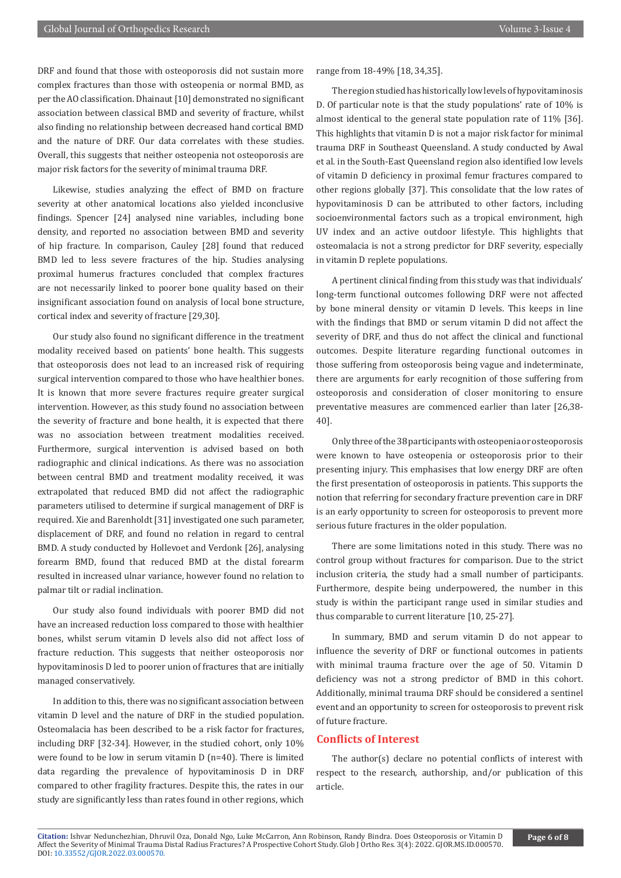DRF and found that those with osteoporosis did not sustain more complex fractures than those with osteopenia or normal BMD, as per the AO classification. Dhainaut [10] demonstrated no significant association between classical BMD and severity of fracture, whilst also finding no relationship between decreased hand cortical BMD and the nature of DRF. Our data correlates with these studies. Overall, this suggests that neither osteopenia not osteoporosis are major risk factors for the severity of minimal trauma DRF.

Likewise, studies analyzing the effect of BMD on fracture severity at other anatomical locations also yielded inconclusive findings. Spencer [24] analysed nine variables, including bone density, and reported no association between BMD and severity of hip fracture. In comparison, Cauley [28] found that reduced BMD led to less severe fractures of the hip. Studies analysing proximal humerus fractures concluded that complex fractures are not necessarily linked to poorer bone quality based on their insignificant association found on analysis of local bone structure, cortical index and severity of fracture [29,30].

Our study also found no significant difference in the treatment modality received based on patients' bone health. This suggests that osteoporosis does not lead to an increased risk of requiring surgical intervention compared to those who have healthier bones. It is known that more severe fractures require greater surgical intervention. However, as this study found no association between the severity of fracture and bone health, it is expected that there was no association between treatment modalities received. Furthermore, surgical intervention is advised based on both radiographic and clinical indications. As there was no association between central BMD and treatment modality received, it was extrapolated that reduced BMD did not affect the radiographic parameters utilised to determine if surgical management of DRF is required. Xie and Barenholdt [31] investigated one such parameter, displacement of DRF, and found no relation in regard to central BMD. A study conducted by Hollevoet and Verdonk [26], analysing forearm BMD, found that reduced BMD at the distal forearm resulted in increased ulnar variance, however found no relation to palmar tilt or radial inclination.

Our study also found individuals with poorer BMD did not have an increased reduction loss compared to those with healthier bones, whilst serum vitamin D levels also did not affect loss of fracture reduction. This suggests that neither osteoporosis nor hypovitaminosis D led to poorer union of fractures that are initially managed conservatively.

In addition to this, there was no significant association between vitamin D level and the nature of DRF in the studied population. Osteomalacia has been described to be a risk factor for fractures, including DRF [32-34]. However, in the studied cohort, only 10% were found to be low in serum vitamin D (n=40). There is limited data regarding the prevalence of hypovitaminosis D in DRF compared to other fragility fractures. Despite this, the rates in our study are significantly less than rates found in other regions, which

range from 18-49% [18, 34,35].

The region studied has historically low levels of hypovitaminosis D. Of particular note is that the study populations' rate of 10% is almost identical to the general state population rate of 11% [36]. This highlights that vitamin D is not a major risk factor for minimal trauma DRF in Southeast Queensland. A study conducted by Awal et al. in the South-East Queensland region also identified low levels of vitamin D deficiency in proximal femur fractures compared to other regions globally [37]. This consolidate that the low rates of hypovitaminosis D can be attributed to other factors, including socioenvironmental factors such as a tropical environment, high UV index and an active outdoor lifestyle. This highlights that osteomalacia is not a strong predictor for DRF severity, especially in vitamin D replete populations.

A pertinent clinical finding from this study was that individuals' long-term functional outcomes following DRF were not affected by bone mineral density or vitamin D levels. This keeps in line with the findings that BMD or serum vitamin D did not affect the severity of DRF, and thus do not affect the clinical and functional outcomes. Despite literature regarding functional outcomes in those suffering from osteoporosis being vague and indeterminate, there are arguments for early recognition of those suffering from osteoporosis and consideration of closer monitoring to ensure preventative measures are commenced earlier than later [26,38- 40].

Only three of the 38 participants with osteopenia or osteoporosis were known to have osteopenia or osteoporosis prior to their presenting injury. This emphasises that low energy DRF are often the first presentation of osteoporosis in patients. This supports the notion that referring for secondary fracture prevention care in DRF is an early opportunity to screen for osteoporosis to prevent more serious future fractures in the older population.

There are some limitations noted in this study. There was no control group without fractures for comparison. Due to the strict inclusion criteria, the study had a small number of participants. Furthermore, despite being underpowered, the number in this study is within the participant range used in similar studies and thus comparable to current literature [10, 25-27].

In summary, BMD and serum vitamin D do not appear to influence the severity of DRF or functional outcomes in patients with minimal trauma fracture over the age of 50. Vitamin D deficiency was not a strong predictor of BMD in this cohort. Additionally, minimal trauma DRF should be considered a sentinel event and an opportunity to screen for osteoporosis to prevent risk of future fracture.

#### **Conflicts of Interest**

The author(s) declare no potential conflicts of interest with respect to the research, authorship, and/or publication of this article.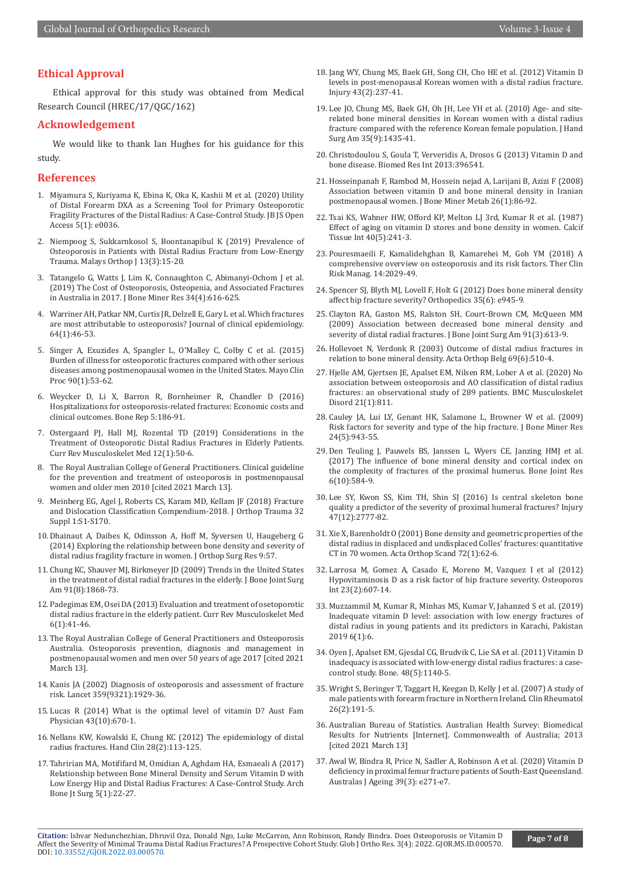# **Ethical Approval**

Ethical approval for this study was obtained from Medical Research Council (HREC/17/QGC/162)

#### **Acknowledgement**

We would like to thank Ian Hughes for his guidance for this study.

#### **References**

- 1. Miyamura S, Kuriyama K, Ebina K, Oka K, Kashii M et al. (2020) Utility of Distal Forearm DXA as a Screening Tool for Primary Osteoporotic Fragility Fractures of the Distal Radius: A Case-Control Study. JB JS Open Access 5(1): e0036.
- 2. Niempoog S, Sukkarnkosol S, Boontanapibul K (2019) Prevalence of Osteoporosis in Patients with Distal Radius Fracture from Low-Energy Trauma. Malays Orthop J 13(3):15-20.
- 3. [Tatangelo G, Watts J, Lim K, Connaughton C, Abimanyi-Ochom J et al.](https://pubmed.ncbi.nlm.nih.gov/30615801/)  [\(2019\) The Cost of Osteoporosis, Osteopenia, and Associated Fractures](https://pubmed.ncbi.nlm.nih.gov/30615801/)  [in Australia in 2017. J Bone Miner Res 34\(4\):616-625.](https://pubmed.ncbi.nlm.nih.gov/30615801/)
- 4. [Warriner AH, Patkar NM, Curtis JR, Delzell E, Gary L et al. Which fractures](https://pubmed.ncbi.nlm.nih.gov/21130353/)  [are most attributable to osteoporosis? Journal of clinical epidemiology.](https://pubmed.ncbi.nlm.nih.gov/21130353/)  [64\(1\):46-53.](https://pubmed.ncbi.nlm.nih.gov/21130353/)
- 5. [Singer A, Exuzides A, Spangler L, O'Malley C, Colby C et al. \(2015\)](https://pubmed.ncbi.nlm.nih.gov/25481833/)  [Burden of illness for osteoporotic fractures compared with other serious](https://pubmed.ncbi.nlm.nih.gov/25481833/)  [diseases among postmenopausal women in the United States. Mayo Clin](https://pubmed.ncbi.nlm.nih.gov/25481833/)  [Proc 90\(1\):53-62.](https://pubmed.ncbi.nlm.nih.gov/25481833/)
- 6. Weycker D, Li X, Barron R, Bornheimer R, Chandler D (2016) Hospitalizations for osteoporosis-related fractures: Economic costs and clinical outcomes. Bone Rep 5:186-91.
- 7. [Ostergaard PJ, Hall MJ, Rozental TD \(2019\) Considerations in the](https://pubmed.ncbi.nlm.nih.gov/30706284/)  [Treatment of Osteoporotic Distal Radius Fractures in Elderly Patients.](https://pubmed.ncbi.nlm.nih.gov/30706284/)  [Curr Rev Musculoskelet Med 12\(1\):50-6.](https://pubmed.ncbi.nlm.nih.gov/30706284/)
- 8. The Royal Australian College of General Practitioners. Clinical guideline for the prevention and treatment of osteoporosis in postmenopausal women and older men 2010 [cited 2021 March 13].
- 9. [Meinberg EG, Agel J, Roberts CS, Karam MD, Kellam JF \(2018\) Fracture](https://pubmed.ncbi.nlm.nih.gov/29256945/)  [and Dislocation Classification Compendium-2018. J Orthop Trauma 32](https://pubmed.ncbi.nlm.nih.gov/29256945/)  [Suppl 1:S1-S170.](https://pubmed.ncbi.nlm.nih.gov/29256945/)
- 10. [Dhainaut A, Daibes K, Odinsson A, Hoff M, Syversen U, Haugeberg G](https://pubmed.ncbi.nlm.nih.gov/25030810/)  [\(2014\) Exploring the relationship between bone density and severity of](https://pubmed.ncbi.nlm.nih.gov/25030810/)  [distal radius fragility fracture in women. J Orthop Surg Res 9:57.](https://pubmed.ncbi.nlm.nih.gov/25030810/)
- 11. Chung KC, Shauver MJ, Birkmeyer JD (2009) Trends in the United States in the treatment of distal radial fractures in the elderly. J Bone Joint Surg Am 91(8):1868-73.
- 12. [Padegimas EM, Osei DA \(2013\) Evaluation and treatment of osetoporotic](https://www.ncbi.nlm.nih.gov/pmc/articles/PMC3702761/)  [distal radius fracture in the elderly patient. Curr Rev Musculoskelet Med](https://www.ncbi.nlm.nih.gov/pmc/articles/PMC3702761/)  [6\(1\):41-46.](https://www.ncbi.nlm.nih.gov/pmc/articles/PMC3702761/)
- 13. The Royal Australian College of General Practitioners and Osteoporosis Australia. Osteoporosis prevention, diagnosis and management in postmenopausal women and men over 50 years of age 2017 [cited 2021 March 13].
- 14. [Kanis JA \(2002\) Diagnosis of osteoporosis and assessment of fracture](https://pubmed.ncbi.nlm.nih.gov/12057569/)  [risk. Lancet 359\(9321\):1929-36.](https://pubmed.ncbi.nlm.nih.gov/12057569/)
- 15. [Lucas R \(2014\) What is the optimal level of vitamin D? Aust Fam](https://pubmed.ncbi.nlm.nih.gov/25417255/)  [Physician 43\(10\):670-1.](https://pubmed.ncbi.nlm.nih.gov/25417255/)
- 16. [Nellans KW, Kowalski E, Chung KC \(2012\) The epidemiology of distal](https://www.ncbi.nlm.nih.gov/pmc/articles/PMC3345129/)  [radius fractures. Hand Clin 28\(2\):113-125.](https://www.ncbi.nlm.nih.gov/pmc/articles/PMC3345129/)
- 17. [Tahririan MA, Motififard M, Omidian A, Aghdam HA, Esmaeali A \(2017\)](https://pubmed.ncbi.nlm.nih.gov/28271083/)  [Relationship between Bone Mineral Density and Serum Vitamin D with](https://pubmed.ncbi.nlm.nih.gov/28271083/)  [Low Energy Hip and Distal Radius Fractures: A Case-Control Study. Arch](https://pubmed.ncbi.nlm.nih.gov/28271083/)  [Bone Jt Surg 5\(1\):22-27.](https://pubmed.ncbi.nlm.nih.gov/28271083/)
- 18. Jang WY, Chung MS, Baek GH, Song CH, Cho HE et al. (2012) Vitamin D levels in post-menopausal Korean women with a distal radius fracture. Injury 43(2):237-41.
- 19. [Lee JO, Chung MS, Baek GH, Oh JH, Lee YH et al. \(2010\) Age- and site](https://pubmed.ncbi.nlm.nih.gov/20807621/)[related bone mineral densities in Korean women with a distal radius](https://pubmed.ncbi.nlm.nih.gov/20807621/) [fracture compared with the reference Korean female population. J Hand](https://pubmed.ncbi.nlm.nih.gov/20807621/) [Surg Am 35\(9\):1435-41.](https://pubmed.ncbi.nlm.nih.gov/20807621/)
- 20. [Christodoulou S, Goula T, Ververidis A, Drosos G \(2013\) Vitamin D and](https://www.ncbi.nlm.nih.gov/pmc/articles/PMC3591184/) [bone disease. Biomed Res Int 2013:396541.](https://www.ncbi.nlm.nih.gov/pmc/articles/PMC3591184/)
- 21. Hosseinpanah F, Rambod M, Hossein nejad A, Larijani B, Azizi F (2008) Association between vitamin D and bone mineral density in Iranian postmenopausal women. J Bone Miner Metab 26(1):86-92.
- 22. [Tsai KS, Wahner HW, Offord KP, Melton LJ 3rd, Kumar R et al. \(1987\)](https://pubmed.ncbi.nlm.nih.gov/3107776/) [Effect of aging on vitamin D stores and bone density in women. Calcif](https://pubmed.ncbi.nlm.nih.gov/3107776/) [Tissue Int 40\(5\):241-3.](https://pubmed.ncbi.nlm.nih.gov/3107776/)
- 23. [Pouresmaeili F, Kamalidehghan B, Kamarehei M, Goh YM \(2018\) A](https://www.ncbi.nlm.nih.gov/pmc/articles/PMC6225907/) [comprehensive overview on osteoporosis and its risk factors. Ther Clin](https://www.ncbi.nlm.nih.gov/pmc/articles/PMC6225907/) [Risk Manag. 14:2029-49.](https://www.ncbi.nlm.nih.gov/pmc/articles/PMC6225907/)
- 24. [Spencer SJ, Blyth MJ, Lovell F, Holt G \(2012\) Does bone mineral density](https://pubmed.ncbi.nlm.nih.gov/22691672/) [affect hip fracture severity? Orthopedics 35\(6\): e945-9.](https://pubmed.ncbi.nlm.nih.gov/22691672/)
- 25. [Clayton RA, Gaston MS, Ralston SH, Court-Brown CM, McQueen MM](https://pubmed.ncbi.nlm.nih.gov/19255221/) [\(2009\) Association between decreased bone mineral density and](https://pubmed.ncbi.nlm.nih.gov/19255221/) [severity of distal radial fractures. J Bone Joint Surg Am 91\(3\):613-9.](https://pubmed.ncbi.nlm.nih.gov/19255221/)
- 26. Hollevoet N, Verdonk R (2003) Outcome of distal radius fractures in relation to bone mineral density. Acta Orthop Belg 69(6):510-4.
- 27. Hielle AM, Giertsen IE, Apalset EM, Nilsen RM, Lober A et al. (2020) No [association between osteoporosis and AO classification of distal radius](https://pubmed.ncbi.nlm.nih.gov/33276758/) [fractures: an observational study of 289 patients. BMC Musculoskelet](https://pubmed.ncbi.nlm.nih.gov/33276758/) [Disord 21\(1\):811](https://pubmed.ncbi.nlm.nih.gov/33276758/).
- 28. [Cauley JA, Lui LY, Genant HK, Salamone L, Browner W et al. \(2009\)](https://pubmed.ncbi.nlm.nih.gov/19113930/) [Risk factors for severity and type of the hip fracture. J Bone Miner Res](https://pubmed.ncbi.nlm.nih.gov/19113930/) [24\(5\):943-55.](https://pubmed.ncbi.nlm.nih.gov/19113930/)
- 29. Den Teuling J, Pauwels BS, Janssen L, Wyers CE, Janzing HMJ et al. (2017) The influence of bone mineral density and cortical index on the complexity of fractures of the proximal humerus. Bone Joint Res 6(10):584-9.
- 30. Lee SY, Kwon SS, Kim TH, Shin SJ (2016) Is central skeleton bone quality a predictor of the severity of proximal humeral fractures? Injury 47(12):2777-82.
- 31. [Xie X, Barenholdt O \(2001\) Bone density and geometric properties of the](https://pubmed.ncbi.nlm.nih.gov/11327416/) [distal radius in displaced and undisplaced Colles' fractures: quantitative](https://pubmed.ncbi.nlm.nih.gov/11327416/) [CT in 70 women. Acta Orthop Scand 72\(1\):62-6.](https://pubmed.ncbi.nlm.nih.gov/11327416/)
- 32. Larrosa M, Gomez A, Casado E, Moreno M, Vazquez I et al (2012) Hypovitaminosis D as a risk factor of hip fracture severity. Osteoporos Int 23(2):607-14.
- 33. Muzzammil M, Kumar R, Minhas MS, Kumar V, Jahanzed S et al. (2019) Inadequate vitamin D level: association with low energy fractures of distal radius in young patients and its predictors in Karachi, Pakistan 2019 6(1):6.
- 34. Oyen J, Apalset EM, Gjesdal CG, Brudvik C, Lie SA et al. (2011) Vitamin D inadequacy is associated with low-energy distal radius fractures: a casecontrol study. Bone. 48(5):1140-5.
- 35. [Wright S, Beringer T, Taggart H, Keegan D, Kelly J et al. \(2007\) A study of](https://pubmed.ncbi.nlm.nih.gov/16552462/) [male patients with forearm fracture in Northern Ireland. Clin Rheumatol](https://pubmed.ncbi.nlm.nih.gov/16552462/) [26\(2\):191-5.](https://pubmed.ncbi.nlm.nih.gov/16552462/)
- 36. Australian Bureau of Statistics. Australian Health Survey: Biomedical Results for Nutrients [Internet]. Commonwealth of Australia; 2013 [cited 2021 March 13]
- 37. [Awal W, Bindra R, Price N, Sadler A, Robinson A et al. \(2020\) Vitamin D](https://pubmed.ncbi.nlm.nih.gov/32180342/) [deficiency in proximal femur fracture patients of South-East Queensland.](https://pubmed.ncbi.nlm.nih.gov/32180342/) [Australas J Ageing 39\(3\): e271-e7.](https://pubmed.ncbi.nlm.nih.gov/32180342/)